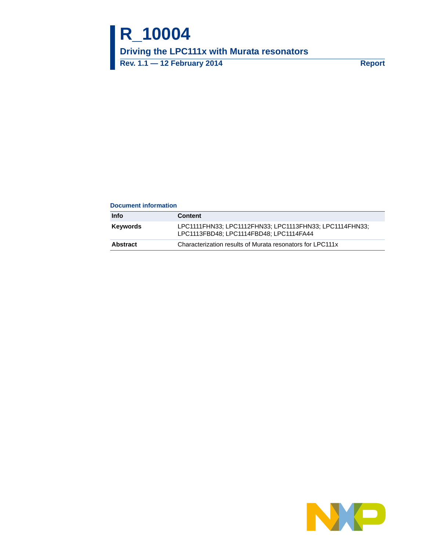# **R\_10004**

**Driving the LPC111x with Murata resonators**

**Rev. 1.1 — 12 February 2014 Report**

#### **Document information**

| Info     | <b>Content</b>                                                                                     |
|----------|----------------------------------------------------------------------------------------------------|
| Kevwords | LPC1111FHN33; LPC1112FHN33; LPC1113FHN33; LPC1114FHN33;<br>LPC1113FBD48; LPC1114FBD48; LPC1114FA44 |
| Abstract | Characterization results of Murata resonators for LPC111x                                          |

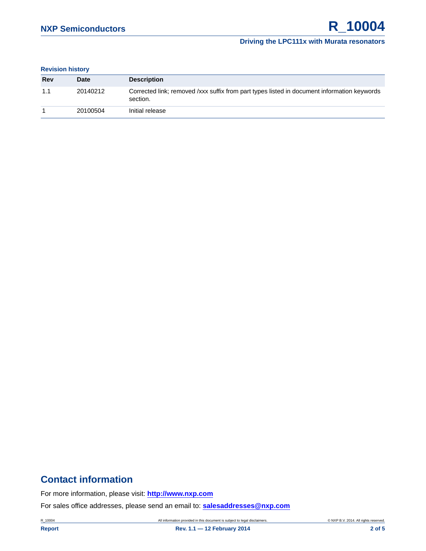#### **Driving the LPC111x with Murata resonators**

#### **Revision history**

| Rev | <b>Date</b> | <b>Description</b>                                                                                      |
|-----|-------------|---------------------------------------------------------------------------------------------------------|
| 1.1 | 20140212    | Corrected link; removed /xxx suffix from part types listed in document information keywords<br>section. |
|     | 20100504    | Initial release                                                                                         |

## **Contact information**

For more information, please visit: **http://www.nxp.com**

For sales office addresses, please send an email to: **salesaddresses@nxp.com**

R\_10004 **All information provided in this document is subject to legal disclaimers.** © NXP B.V. 2014. All rights reserved.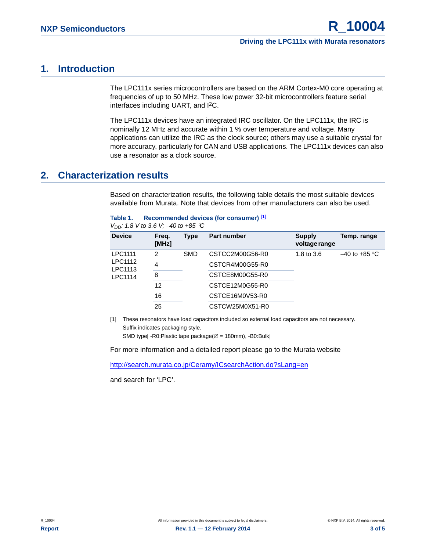## <span id="page-2-1"></span>**1. Introduction**

The LPC111x series microcontrollers are based on the ARM Cortex-M0 core operating at frequencies of up to 50 MHz. These low power 32-bit microcontrollers feature serial interfaces including UART, and I<sup>2</sup>C.

The LPC111x devices have an integrated IRC oscillator. On the LPC111x, the IRC is nominally 12 MHz and accurate within 1 % over temperature and voltage. Many applications can utilize the IRC as the clock source; others may use a suitable crystal for more accuracy, particularly for CAN and USB applications. The LPC111x devices can also use a resonator as a clock source.

## <span id="page-2-2"></span>**2. Characterization results**

Based on characterization results, the following table details the most suitable devices available from Murata. Note that devices from other manufacturers can also be used.

*V<sub>DD</sub>:* 1.8 *V* to 3.6 *V;*  $-40$  to +85 <sup>°</sup>C

| <b>Device</b>      | Freq.<br>[MHz] | Type       | <b>Part number</b> | <b>Supply</b><br>voltage range | Temp. range     |
|--------------------|----------------|------------|--------------------|--------------------------------|-----------------|
| LPC1111            | 2              | <b>SMD</b> | CSTCC2M00G56-R0    | 1.8 to $3.6$                   | $-40$ to +85 °C |
| LPC1112<br>LPC1113 | 4              |            | CSTCR4M00G55-R0    |                                |                 |
| LPC1114            | 8              |            | CSTCE8M00G55-R0    |                                |                 |
|                    | 12             |            | CSTCE12M0G55-R0    |                                |                 |
|                    | 16             |            | CSTCE16M0V53-R0    |                                |                 |
|                    | 25             |            | CSTCW25M0X51-R0    |                                |                 |
|                    |                |            |                    |                                |                 |

<span id="page-2-0"></span>[1] These resonators have load capacitors included so external load capacitors are not necessary. Suffix indicates packaging style.

SMD type[ -R0:Plastic tape package( $\varnothing$  = 180mm), -B0:Bulk]

For more information and a detailed report please go to the Murata website

[http://search.murata.co.jp/Ceramy/ICsearchAction.do?sLang=en](http://www.nxp.com/redirect/search.murata.co.jp)

and search for 'LPC'.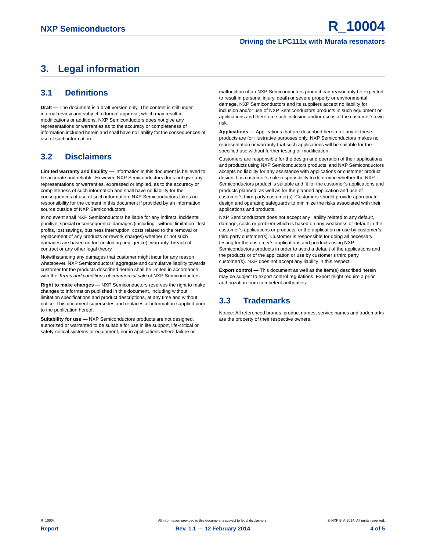#### **Driving the LPC111x with Murata resonators**

## <span id="page-3-0"></span>**3. Legal information**

## <span id="page-3-1"></span>**3.1 Definitions**

**Draft —** The document is a draft version only. The content is still under internal review and subject to formal approval, which may result in modifications or additions. NXP Semiconductors does not give any representations or warranties as to the accuracy or completeness of information included herein and shall have no liability for the consequences of use of such information.

## <span id="page-3-2"></span>**3.2 Disclaimers**

**Limited warranty and liability —** Information in this document is believed to be accurate and reliable. However, NXP Semiconductors does not give any representations or warranties, expressed or implied, as to the accuracy or completeness of such information and shall have no liability for the consequences of use of such information. NXP Semiconductors takes no responsibility for the content in this document if provided by an information source outside of NXP Semiconductors.

In no event shall NXP Semiconductors be liable for any indirect, incidental, punitive, special or consequential damages (including - without limitation - lost profits, lost savings, business interruption, costs related to the removal or replacement of any products or rework charges) whether or not such damages are based on tort (including negligence), warranty, breach of contract or any other legal theory.

Notwithstanding any damages that customer might incur for any reason whatsoever, NXP Semiconductors' aggregate and cumulative liability towards customer for the products described herein shall be limited in accordance with the *Terms and conditions of commercial sale* of NXP Semiconductors.

**Right to make changes —** NXP Semiconductors reserves the right to make changes to information published in this document, including without limitation specifications and product descriptions, at any time and without notice. This document supersedes and replaces all information supplied prior to the publication hereof.

**Suitability for use —** NXP Semiconductors products are not designed, authorized or warranted to be suitable for use in life support, life-critical or safety-critical systems or equipment, nor in applications where failure or

malfunction of an NXP Semiconductors product can reasonably be expected to result in personal injury, death or severe property or environmental damage. NXP Semiconductors and its suppliers accept no liability for inclusion and/or use of NXP Semiconductors products in such equipment or applications and therefore such inclusion and/or use is at the customer's own risk.

**Applications —** Applications that are described herein for any of these products are for illustrative purposes only. NXP Semiconductors makes no representation or warranty that such applications will be suitable for the specified use without further testing or modification.

Customers are responsible for the design and operation of their applications and products using NXP Semiconductors products, and NXP Semiconductors accepts no liability for any assistance with applications or customer product design. It is customer's sole responsibility to determine whether the NXP Semiconductors product is suitable and fit for the customer's applications and products planned, as well as for the planned application and use of customer's third party customer(s). Customers should provide appropriate design and operating safeguards to minimize the risks associated with their applications and products.

NXP Semiconductors does not accept any liability related to any default, damage, costs or problem which is based on any weakness or default in the customer's applications or products, or the application or use by customer's third party customer(s). Customer is responsible for doing all necessary testing for the customer's applications and products using NXP Semiconductors products in order to avoid a default of the applications and the products or of the application or use by customer's third party customer(s). NXP does not accept any liability in this respect.

**Export control —** This document as well as the item(s) described herein may be subject to export control regulations. Export might require a prior authorization from competent authorities.

## <span id="page-3-3"></span>**3.3 Trademarks**

Notice: All referenced brands, product names, service names and trademarks are the property of their respective owners.